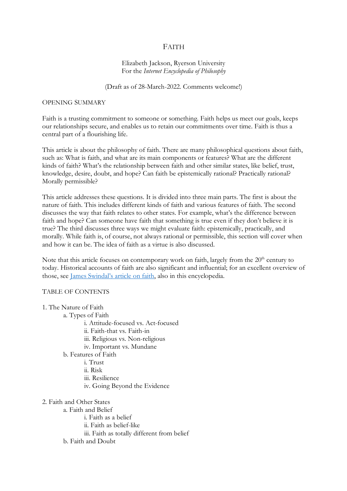# FAITH

## Elizabeth Jackson, Ryerson University For the *Internet Encyclopedia of Philosophy*

#### (Draft as of 28-March-2022. Comments welcome!)

#### OPENING SUMMARY

Faith is a trusting commitment to someone or something. Faith helps us meet our goals, keeps our relationships secure, and enables us to retain our commitments over time. Faith is thus a central part of a flourishing life.

This article is about the philosophy of faith. There are many philosophical questions about faith, such as: What is faith, and what are its main components or features? What are the different kinds of faith? What's the relationship between faith and other similar states, like belief, trust, knowledge, desire, doubt, and hope? Can faith be epistemically rational? Practically rational? Morally permissible?

This article addresses these questions. It is divided into three main parts. The first is about the nature of faith. This includes different kinds of faith and various features of faith. The second discusses the way that faith relates to other states. For example, what's the difference between faith and hope? Can someone have faith that something is true even if they don't believe it is true? The third discusses three ways we might evaluate faith: epistemically, practically, and morally. While faith is, of course, not always rational or permissible, this section will cover when and how it can be. The idea of faith as a virtue is also discussed.

Note that this article focuses on contemporary work on faith, largely from the 20<sup>th</sup> century to today. Historical accounts of faith are also significant and influential; for an excellent overview of those, see James Swindal's article on faith, also in this encyclopedia.

#### TABLE OF CONTENTS

| 1. The Nature of Faith |
|------------------------|
|------------------------|

- a. Types of Faith
	- i. Attitude-focused vs. Act-focused
	- ii. Faith-that vs. Faith-in
	- iii. Religious vs. Non-religious
	- iv. Important vs. Mundane

b. Features of Faith

- i. Trust
- ii. Risk
- iii. Resilience
- iv. Going Beyond the Evidence
- 2. Faith and Other States
	- a. Faith and Belief
		- i. Faith as a belief
		- ii. Faith as belief-like
		- iii. Faith as totally different from belief
	- b. Faith and Doubt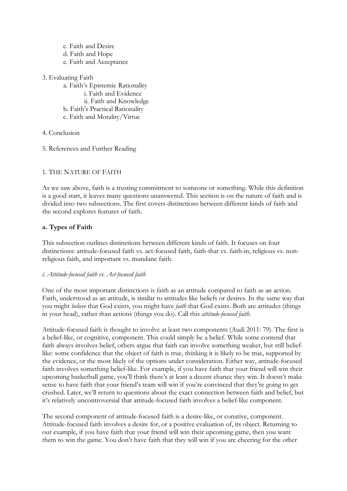- c. Faith and Desire d. Faith and Hope e. Faith and Acceptance
- 3. Evaluating Faith
	- a. Faith's Epistemic Rationality i. Faith and Evidence ii. Faith and Knowledge b. Faith's Practical Rationality c. Faith and Morality/Virtue
- 4. Conclusion
- 5. References and Further Reading

# 1. THE NATURE OF FAITH

As we saw above, faith is a trusting commitment to someone or something. While this definition is a good start, it leaves many questions unanswered. This section is on the nature of faith and is divided into two subsections. The first covers distinctions between different kinds of faith and the second explores features of faith.

# **a. Types of Faith**

This subsection outlines distinctions between different kinds of faith. It focuses on four distinctions: attitude-focused faith vs. act-focused faith, faith-that vs. faith-in, religious vs. nonreligious faith, and important vs. mundane faith.

# *i. Attitude-focused faith vs. Act-focused faith*

One of the most important distinctions is faith as an attitude compared to faith as an action. Faith, understood as an attitude, is similar to attitudes like beliefs or desires. In the same way that you might *believe* that God exists, you might have *faith* that God exists. Both are attitudes (things in your head), rather than actions (things you do). Call this *attitude-focused faith*.

Attitude-focused faith is thought to involve at least two components (Audi 2011: 79). The first is a belief-like, or cognitive, component. This could simply be a belief. While some contend that faith always involves belief, others argue that faith can involve something weaker, but still belieflike: some confidence that the object of faith is true, thinking it is likely to be true, supported by the evidence, or the most likely of the options under consideration. Either way, attitude-focused faith involves something belief-like. For example, if you have faith that your friend will win their upcoming basketball game, you'll think there's at least a decent chance they win. It doesn't make sense to have faith that your friend's team will win if you're convinced that they're going to get crushed. Later, we'll return to questions about the exact connection between faith and belief, but it's relatively uncontroversial that attitude-focused faith involves a belief-like component.

The second component of attitude-focused faith is a desire-like, or conative, component. Attitude-focused faith involves a desire for, or a positive evaluation of, its object. Returning to our example, if you have faith that your friend will win their upcoming game, then you want them to win the game. You don't have faith that they will win if you are cheering for the other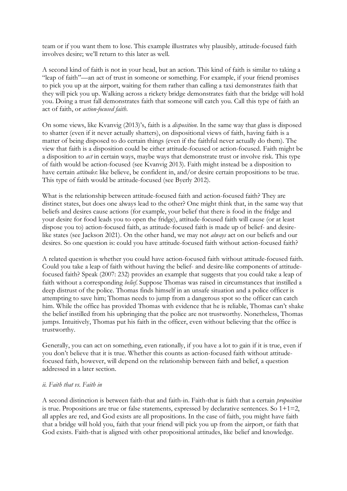team or if you want them to lose. This example illustrates why plausibly, attitude-focused faith involves desire; we'll return to this later as well.

A second kind of faith is not in your head, but an action. This kind of faith is similar to taking a "leap of faith"—an act of trust in someone or something. For example, if your friend promises to pick you up at the airport, waiting for them rather than calling a taxi demonstrates faith that they will pick you up. Walking across a rickety bridge demonstrates faith that the bridge will hold you. Doing a trust fall demonstrates faith that someone will catch you. Call this type of faith an act of faith, or *action-focused faith*.

On some views, like Kvanvig (2013)'s, faith is a *disposition*. In the same way that glass is disposed to shatter (even if it never actually shatters), on dispositional views of faith, having faith is a matter of being disposed to do certain things (even if the faithful never actually do them). The view that faith is a disposition could be either attitude-focused or action-focused. Faith might be a disposition to *act* in certain ways, maybe ways that demonstrate trust or involve risk. This type of faith would be action-focused (see Kvanvig 2013). Faith might instead be a disposition to have certain *attitudes*: like believe, be confident in, and/or desire certain propositions to be true. This type of faith would be attitude-focused (see Byerly 2012).

What is the relationship between attitude-focused faith and action-focused faith? They are distinct states, but does one always lead to the other? One might think that, in the same way that beliefs and desires cause actions (for example, your belief that there is food in the fridge and your desire for food leads you to open the fridge), attitude-focused faith will cause (or at least dispose you to) action-focused faith, as attitude-focused faith is made up of belief- and desirelike states (see Jackson 2021). On the other hand, we may not *always* act on our beliefs and our desires. So one question is: could you have attitude-focused faith without action-focused faith?

A related question is whether you could have action-focused faith without attitude-focused faith. Could you take a leap of faith without having the belief- and desire-like components of attitudefocused faith? Speak (2007: 232) provides an example that suggests that you could take a leap of faith without a corresponding *belief*. Suppose Thomas was raised in circumstances that instilled a deep distrust of the police. Thomas finds himself in an unsafe situation and a police officer is attempting to save him; Thomas needs to jump from a dangerous spot so the officer can catch him. While the office has provided Thomas with evidence that he is reliable, Thomas can't shake the belief instilled from his upbringing that the police are not trustworthy. Nonetheless, Thomas jumps. Intuitively, Thomas put his faith in the officer, even without believing that the office is trustworthy.

Generally, you can act on something, even rationally, if you have a lot to gain if it is true, even if you don't believe that it is true. Whether this counts as action-focused faith without attitudefocused faith, however, will depend on the relationship between faith and belief, a question addressed in a later section.

#### *ii. Faith that vs. Faith in*

A second distinction is between faith-that and faith-in. Faith-that is faith that a certain *proposition* is true. Propositions are true or false statements, expressed by declarative sentences. So  $1+1=2$ , all apples are red, and God exists are all propositions. In the case of faith, you might have faith that a bridge will hold you, faith that your friend will pick you up from the airport, or faith that God exists. Faith-that is aligned with other propositional attitudes, like belief and knowledge.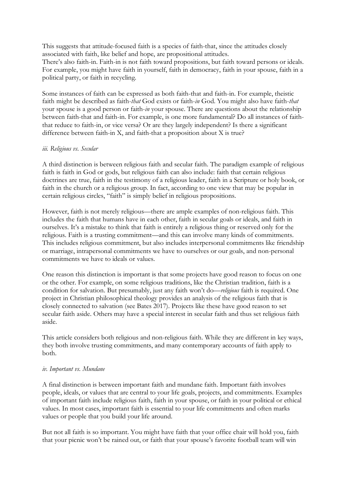This suggests that attitude-focused faith is a species of faith-that, since the attitudes closely associated with faith, like belief and hope, are propositional attitudes.

There's also faith-in. Faith-in is not faith toward propositions, but faith toward persons or ideals. For example, you might have faith in yourself, faith in democracy, faith in your spouse, faith in a political party, or faith in recycling.

Some instances of faith can be expressed as both faith-that and faith-in. For example, theistic faith might be described as faith-*that* God exists or faith-*in* God. You might also have faith-*that* your spouse is a good person or faith-*in* your spouse. There are questions about the relationship between faith-that and faith-in. For example, is one more fundamental? Do all instances of faiththat reduce to faith-in, or vice versa? Or are they largely independent? Is there a significant difference between faith-in X, and faith-that a proposition about X is true?

#### *iii. Religious vs. Secular*

A third distinction is between religious faith and secular faith. The paradigm example of religious faith is faith in God or gods, but religious faith can also include: faith that certain religious doctrines are true, faith in the testimony of a religious leader, faith in a Scripture or holy book, or faith in the church or a religious group. In fact, according to one view that may be popular in certain religious circles, "faith" is simply belief in religious propositions.

However, faith is not merely religious—there are ample examples of non-religious faith. This includes the faith that humans have in each other, faith in secular goals or ideals, and faith in ourselves. It's a mistake to think that faith is entirely a religious thing or reserved only for the religious. Faith is a trusting commitment—and this can involve many kinds of commitments. This includes religious commitment, but also includes interpersonal commitments like friendship or marriage, intrapersonal commitments we have to ourselves or our goals, and non-personal commitments we have to ideals or values.

One reason this distinction is important is that some projects have good reason to focus on one or the other. For example, on some religious traditions, like the Christian tradition, faith is a condition for salvation. But presumably, just any faith won't do—*religious* faith is required. One project in Christian philosophical theology provides an analysis of the religious faith that is closely connected to salvation (see Bates 2017). Projects like these have good reason to set secular faith aside. Others may have a special interest in secular faith and thus set religious faith aside.

This article considers both religious and non-religious faith. While they are different in key ways, they both involve trusting commitments, and many contemporary accounts of faith apply to both.

#### *iv. Important vs. Mundane*

A final distinction is between important faith and mundane faith. Important faith involves people, ideals, or values that are central to your life goals, projects, and commitments. Examples of important faith include religious faith, faith in your spouse, or faith in your political or ethical values. In most cases, important faith is essential to your life commitments and often marks values or people that you build your life around.

But not all faith is so important. You might have faith that your office chair will hold you, faith that your picnic won't be rained out, or faith that your spouse's favorite football team will win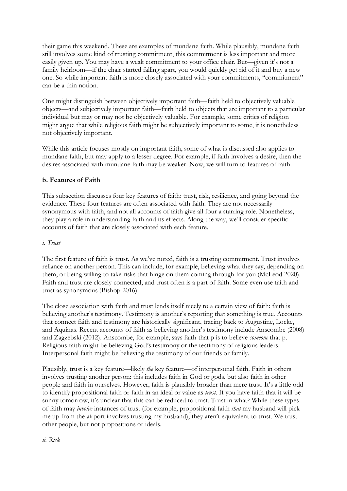their game this weekend. These are examples of mundane faith. While plausibly, mundane faith still involves some kind of trusting commitment, this commitment is less important and more easily given up. You may have a weak commitment to your office chair. But—given it's not a family heirloom—if the chair started falling apart, you would quickly get rid of it and buy a new one. So while important faith is more closely associated with your commitments, "commitment" can be a thin notion.

One might distinguish between objectively important faith—faith held to objectively valuable objects—and subjectively important faith—faith held to objects that are important to a particular individual but may or may not be objectively valuable. For example, some critics of religion might argue that while religious faith might be subjectively important to some, it is nonetheless not objectively important.

While this article focuses mostly on important faith, some of what is discussed also applies to mundane faith, but may apply to a lesser degree. For example, if faith involves a desire, then the desires associated with mundane faith may be weaker. Now, we will turn to features of faith.

# **b. Features of Faith**

This subsection discusses four key features of faith: trust, risk, resilience, and going beyond the evidence. These four features are often associated with faith. They are not necessarily synonymous with faith, and not all accounts of faith give all four a starring role. Nonetheless, they play a role in understanding faith and its effects. Along the way, we'll consider specific accounts of faith that are closely associated with each feature.

#### *i. Trust*

The first feature of faith is trust. As we've noted, faith is a trusting commitment. Trust involves reliance on another person. This can include, for example, believing what they say, depending on them, or being willing to take risks that hinge on them coming through for you (McLeod 2020). Faith and trust are closely connected, and trust often is a part of faith. Some even use faith and trust as synonymous (Bishop 2016).

The close association with faith and trust lends itself nicely to a certain view of faith: faith is believing another's testimony. Testimony is another's reporting that something is true. Accounts that connect faith and testimony are historically significant, tracing back to Augustine, Locke, and Aquinas. Recent accounts of faith as believing another's testimony include Anscombe (2008) and Zagzebski (2012). Anscombe, for example, says faith that p is to believe *someone* that p. Religious faith might be believing God's testimony or the testimony of religious leaders. Interpersonal faith might be believing the testimony of our friends or family.

Plausibly, trust is a key feature—likely *the* key feature—of interpersonal faith. Faith in others involves trusting another person: this includes faith in God or gods, but also faith in other people and faith in ourselves. However, faith is plausibly broader than mere trust. It's a little odd to identify propositional faith or faith in an ideal or value as *trust*. If you have faith that it will be sunny tomorrow, it's unclear that this can be reduced to trust. Trust in what? While these types of faith may *involve* instances of trust (for example, propositional faith *that* my husband will pick me up from the airport involves trusting my husband), they aren't equivalent to trust. We trust other people, but not propositions or ideals.

*ii. Risk*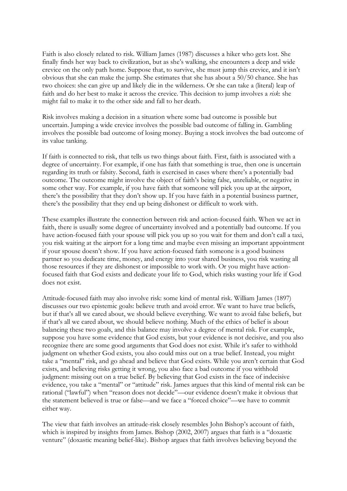Faith is also closely related to risk. William James (1987) discusses a hiker who gets lost. She finally finds her way back to civilization, but as she's walking, she encounters a deep and wide crevice on the only path home. Suppose that, to survive, she must jump this crevice, and it isn't obvious that she can make the jump. She estimates that she has about a 50/50 chance. She has two choices: she can give up and likely die in the wilderness. Or she can take a (literal) leap of faith and do her best to make it across the crevice. This decision to jump involves a *risk*: she might fail to make it to the other side and fall to her death.

Risk involves making a decision in a situation where some bad outcome is possible but uncertain. Jumping a wide crevice involves the possible bad outcome of falling in. Gambling involves the possible bad outcome of losing money. Buying a stock involves the bad outcome of its value tanking.

If faith is connected to risk, that tells us two things about faith. First, faith is associated with a degree of uncertainty. For example, if one has faith that something is true, then one is uncertain regarding its truth or falsity. Second, faith is exercised in cases where there's a potentially bad outcome. The outcome might involve the object of faith's being false, unreliable, or negative in some other way. For example, if you have faith that someone will pick you up at the airport, there's the possibility that they don't show up. If you have faith in a potential business partner, there's the possibility that they end up being dishonest or difficult to work with.

These examples illustrate the connection between risk and action-focused faith. When we act in faith, there is usually some degree of uncertainty involved and a potentially bad outcome. If you have action-focused faith your spouse will pick you up so you wait for them and don't call a taxi, you risk waiting at the airport for a long time and maybe even missing an important appointment if your spouse doesn't show. If you have action-focused faith someone is a good business partner so you dedicate time, money, and energy into your shared business, you risk wasting all those resources if they are dishonest or impossible to work with. Or you might have actionfocused faith that God exists and dedicate your life to God, which risks wasting your life if God does not exist.

Attitude-focused faith may also involve risk: some kind of mental risk. William James (1897) discusses our two epistemic goals: believe truth and avoid error. We want to have true beliefs, but if that's all we cared about, we should believe everything. We want to avoid false beliefs, but if that's all we cared about, we should believe nothing. Much of the ethics of belief is about balancing these two goals, and this balance may involve a degree of mental risk. For example, suppose you have some evidence that God exists, but your evidence is not decisive, and you also recognize there are some good arguments that God does not exist. While it's safer to withhold judgment on whether God exists, you also could miss out on a true belief. Instead, you might take a "mental" risk, and go ahead and believe that God exists. While you aren't certain that God exists, and believing risks getting it wrong, you also face a bad outcome if you withhold judgment: missing out on a true belief. By believing that God exists in the face of indecisive evidence, you take a "mental" or "attitude" risk. James argues that this kind of mental risk can be rational ("lawful") when "reason does not decide"—our evidence doesn't make it obvious that the statement believed is true or false—and we face a "forced choice"—we have to commit either way.

The view that faith involves an attitude-risk closely resembles John Bishop's account of faith, which is inspired by insights from James. Bishop (2002, 2007) argues that faith is a "doxastic venture" (doxastic meaning belief-like). Bishop argues that faith involves believing beyond the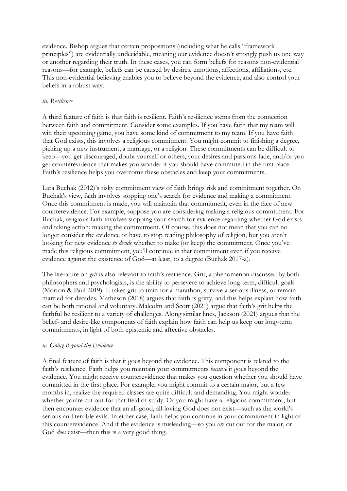evidence. Bishop argues that certain propositions (including what he calls "framework principles") are evidentially undecidable, meaning our evidence doesn't strongly push us one way or another regarding their truth. In these cases, you can form beliefs for reasons non-evidential reasons—for example, beliefs can be caused by desires, emotions, affections, affiliations, etc. This non-evidential believing enables you to believe beyond the evidence, and also control your beliefs in a robust way.

### *iii. Resilience*

A third feature of faith is that faith is resilient. Faith's resilience stems from the connection between faith and commitment. Consider some examples. If you have faith that my team will win their upcoming game, you have some kind of commitment to my team. If you have faith that God exists, this involves a religious commitment. You might commit to finishing a degree, picking up a new instrument, a marriage, or a religion. These commitments can be difficult to keep—you get discouraged, doubt yourself or others, your desires and passions fade, and/or you get counterevidence that makes you wonder if you should have committed in the first place. Faith's resilience helps you overcome these obstacles and keep your commitments.

Lara Buchak (2012)'s risky commitment view of faith brings risk and commitment together. On Buchak's view, faith involves stopping one's search for evidence and making a commitment. Once this commitment is made, you will maintain that commitment, even in the face of new counterevidence. For example, suppose you are considering making a religious commitment. For Buchak, religious faith involves stopping your search for evidence regarding whether God exists and taking action: making the commitment. Of course, this does not mean that you can no longer consider the evidence or have to stop reading philosophy of religion, but you aren't looking for new evidence *to decide* whether to make (or keep) the commitment. Once you've made this religious commitment, you'll continue in that commitment even if you receive evidence against the existence of God—at least, to a degree (Buchak 2017-a).

The literature on *grit* is also relevant to faith's resilience. Grit, a phenomenon discussed by both philosophers and psychologists, is the ability to persevere to achieve long-term, difficult goals (Morton & Paul 2019). It takes grit to train for a marathon, survive a serious illness, or remain married for decades. Matheson (2018) argues that faith is gritty, and this helps explain how faith can be both rational and voluntary. Malcolm and Scott (2021) argue that faith's grit helps the faithful be resilient to a variety of challenges. Along similar lines, Jackson (2021) argues that the belief- and desire-like components of faith explain how faith can help us keep our long-term commitments, in light of both epistemic and affective obstacles.

#### *iv. Going Beyond the Evidence*

A final feature of faith is that it goes beyond the evidence. This component is related to the faith's resilience. Faith helps you maintain your commitments *because* it goes beyond the evidence. You might receive counterevidence that makes you question whether you should have committed in the first place. For example, you might commit to a certain major, but a few months in, realize the required classes are quite difficult and demanding. You might wonder whether you're cut out for that field of study. Or you might have a religious commitment, but then encounter evidence that an all-good, all-loving God does not exist—such as the world's serious and terrible evils. In either case, faith helps you continue in your commitment in light of this counterevidence. And if the evidence is misleading—so you a*re* cut out for the major, or God *does* exist—then this is a very good thing.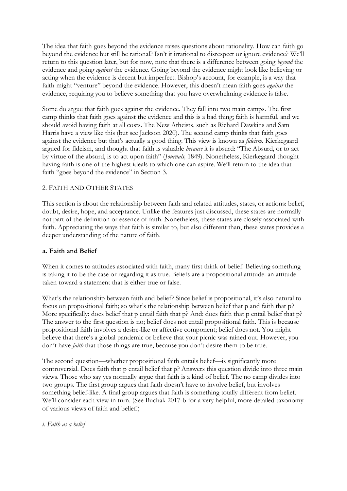The idea that faith goes beyond the evidence raises questions about rationality. How can faith go beyond the evidence but still be rational? Isn't it irrational to disrespect or ignore evidence? We'll return to this question later, but for now, note that there is a difference between going *beyond* the evidence and going *against* the evidence. Going beyond the evidence might look like believing or acting when the evidence is decent but imperfect. Bishop's account, for example, is a way that faith might "venture" beyond the evidence. However, this doesn't mean faith goes *against* the evidence, requiring you to believe something that you have overwhelming evidence is false.

Some do argue that faith goes against the evidence. They fall into two main camps. The first camp thinks that faith goes against the evidence and this is a bad thing; faith is harmful, and we should avoid having faith at all costs. The New Atheists, such as Richard Dawkins and Sam Harris have a view like this (but see Jackson 2020). The second camp thinks that faith goes against the evidence but that's actually a good thing. This view is known as *fideism*. Kierkegaard argued for fideism, and thought that faith is valuable *because* it is absurd: "The Absurd, or to act by virtue of the absurd, is to act upon faith" (*Journals,* 1849). Nonetheless, Kierkegaard thought having faith is one of the highest ideals to which one can aspire. We'll return to the idea that faith "goes beyond the evidence" in Section 3.

## 2. FAITH AND OTHER STATES

This section is about the relationship between faith and related attitudes, states, or actions: belief, doubt, desire, hope, and acceptance. Unlike the features just discussed, these states are normally not part of the definition or essence of faith. Nonetheless, these states are closely associated with faith. Appreciating the ways that faith is similar to, but also different than, these states provides a deeper understanding of the nature of faith.

### **a. Faith and Belief**

When it comes to attitudes associated with faith, many first think of belief. Believing something is taking it to be the case or regarding it as true. Beliefs are a propositional attitude: an attitude taken toward a statement that is either true or false.

What's the relationship between faith and belief? Since belief is propositional, it's also natural to focus on propositional faith; so what's the relationship between belief that p and faith that p? More specifically: does belief that p entail faith that p? And: does faith that p entail belief that p? The answer to the first question is no; belief does not entail propositional faith. This is because propositional faith involves a desire-like or affective component; belief does not. You might believe that there's a global pandemic or believe that your picnic was rained out. However, you don't have *faith* that those things are true, because you don't desire them to be true.

The second question—whether propositional faith entails belief—is significantly more controversial. Does faith that p entail belief that p? Answers this question divide into three main views. Those who say yes normally argue that faith is a kind of belief. The no camp divides into two groups. The first group argues that faith doesn't have to involve belief, but involves something belief-like. A final group argues that faith is something totally different from belief. We'll consider each view in turn. (See Buchak 2017-b for a very helpful, more detailed taxonomy of various views of faith and belief.)

### *i. Faith as a belief*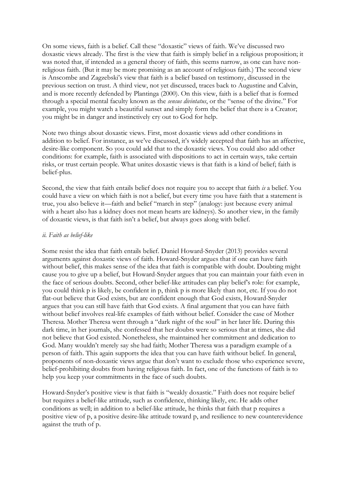On some views, faith is a belief. Call these "doxastic" views of faith. We've discussed two doxastic views already. The first is the view that faith is simply belief in a religious proposition; it was noted that, if intended as a general theory of faith, this seems narrow, as one can have nonreligious faith. (But it may be more promising as an account of religious faith.) The second view is Anscombe and Zagzebski's view that faith is a belief based on testimony, discussed in the previous section on trust. A third view, not yet discussed, traces back to Augustine and Calvin, and is more recently defended by Plantinga (2000). On this view, faith is a belief that is formed through a special mental faculty known as the *sensus divintatus*, or the "sense of the divine." For example, you might watch a beautiful sunset and simply form the belief that there is a Creator; you might be in danger and instinctively cry out to God for help.

Note two things about doxastic views. First, most doxastic views add other conditions in addition to belief. For instance, as we've discussed, it's widely accepted that faith has an affective, desire-like component. So you could add that to the doxastic views. You could also add other conditions: for example, faith is associated with dispositions to act in certain ways, take certain risks, or trust certain people. What unites doxastic views is that faith is a kind of belief; faith is belief-plus.

Second, the view that faith entails belief does not require you to accept that faith *is* a belief. You could have a view on which faith is not a belief, but every time you have faith that a statement is true, you also believe it—faith and belief "march in step" (analogy: just because every animal with a heart also has a kidney does not mean hearts are kidneys). So another view, in the family of doxastic views, is that faith isn't a belief, but always goes along with belief.

#### *ii. Faith as belief-like*

Some resist the idea that faith entails belief. Daniel Howard-Snyder (2013) provides several arguments against doxastic views of faith. Howard-Snyder argues that if one can have faith without belief, this makes sense of the idea that faith is compatible with doubt. Doubting might cause you to give up a belief, but Howard-Snyder argues that you can maintain your faith even in the face of serious doubts. Second, other belief-like attitudes can play belief's role: for example, you could think p is likely, be confident in p, think p is more likely than not, etc. If you do not flat-out believe that God exists, but are confident enough that God exists, Howard-Snyder argues that you can still have faith that God exists. A final argument that you can have faith without belief involves real-life examples of faith without belief. Consider the case of Mother Theresa. Mother Theresa went through a "dark night of the soul" in her later life. During this dark time, in her journals, she confessed that her doubts were so serious that at times, she did not believe that God existed. Nonetheless, she maintained her commitment and dedication to God. Many wouldn't merely say she had faith; Mother Theresa was a paradigm example of a person of faith. This again supports the idea that you can have faith without belief. In general, proponents of non-doxastic views argue that don't want to exclude those who experience severe, belief-prohibiting doubts from having religious faith. In fact, one of the functions of faith is to help you keep your commitments in the face of such doubts.

Howard-Snyder's positive view is that faith is "weakly doxastic." Faith does not require belief but requires a belief-like attitude, such as confidence, thinking likely, etc. He adds other conditions as well; in addition to a belief-like attitude, he thinks that faith that p requires a positive view of p, a positive desire-like attitude toward p, and resilience to new counterevidence against the truth of p.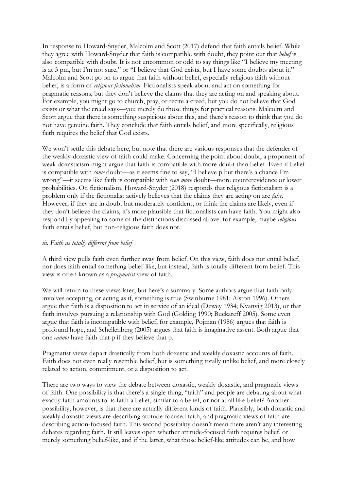In response to Howard-Snyder, Malcolm and Scott (2017) defend that faith entails belief. While they agree with Howard-Snyder that faith is compatible with doubt, they point out that *belief* is also compatible with doubt. It is not uncommon or odd to say things like "I believe my meeting is at 3 pm, but I'm not sure," or "I believe that God exists, but I have some doubts about it." Malcolm and Scott go on to argue that faith without belief, especially religious faith without belief, is a form of *religious fictionalism*. Fictionalists speak about and act on something for pragmatic reasons, but they don't believe the claims that they are acting on and speaking about. For example, you might go to church, pray, or recite a creed, but you do not believe that God exists or what the creed says—you merely do those things for practical reasons. Malcolm and Scott argue that there is something suspicious about this, and there's reason to think that you do not have genuine faith. They conclude that faith entails belief, and more specifically, religious faith requires the belief that God exists.

We won't settle this debate here, but note that there are various responses that the defender of the weakly-doxastic view of faith could make. Concerning the point about doubt, a proponent of weak doxasticism might argue that faith is compatible with more doubt than belief. Even if belief is compatible with *some* doubt—as it seems fine to say, "I believe p but there's a chance I'm wrong"—it seems like faith is compatible with *even more* doubt—more counterevidence or lower probabilities. On fictionalism, Howard-Snyder (2018) responds that religious fictionalism is a problem only if the fictionalist actively believes that the claims they are acting on are *false*. However, if they are in doubt but moderately confident, or think the claims are likely, even if they don't believe the claims, it's more plausible that fictionalists can have faith. You might also respond by appealing to some of the distinctions discussed above: for example, maybe *religious* faith entails belief, but non-religious faith does not.

### *iii. Faith as totally different from belief*

A third view pulls faith even further away from belief. On this view, faith does not entail belief, nor does faith entail something belief-like, but instead, faith is totally different from belief. This view is often known as a *pragmatist* view of faith.

We will return to these views later, but here's a summary. Some authors argue that faith only involves accepting, or acting as if, something is true (Swinburne 1981; Alston 1996). Others argue that faith is a disposition to act in service of an ideal (Dewey 1934; Kvanvig 2013), or that faith involves pursuing a relationship with God (Golding 1990; Buckareff 2005). Some even argue that faith is incompatible with belief; for example, Pojman (1986) argues that faith is profound hope, and Schellenberg (2005) argues that faith is imaginative assent. Both argue that one *cannot* have faith that p if they believe that p.

Pragmatist views depart drastically from both doxastic and weakly doxastic accounts of faith. Faith does not even really resemble belief, but is something totally unlike belief, and more closely related to action, commitment, or a disposition to act.

There are two ways to view the debate between doxastic, weakly doxastic, and pragmatic views of faith. One possibility is that there's a single thing, "faith" and people are debating about what exactly faith amounts to: is faith a belief, similar to a belief, or not at all like belief? Another possibility, however, is that there are actually different kinds of faith. Plausibly, both doxastic and weakly doxastic views are describing attitude-focused faith, and pragmatic views of faith are describing action-focused faith. This second possibility doesn't mean there aren't any interesting debates regarding faith. It still leaves open whether attitude-focused faith requires belief, or merely something belief-like, and if the latter, what those belief-like attitudes can be, and how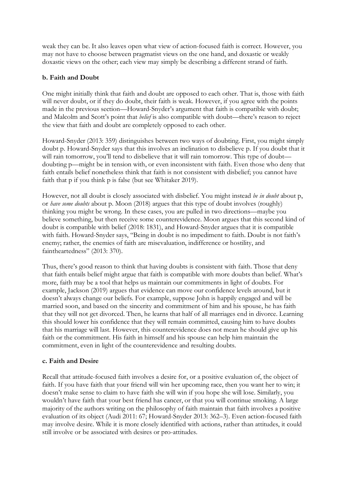weak they can be. It also leaves open what view of action-focused faith is correct. However, you may not have to choose between pragmatist views on the one hand, and doxastic or weakly doxastic views on the other; each view may simply be describing a different strand of faith.

## **b. Faith and Doubt**

One might initially think that faith and doubt are opposed to each other. That is, those with faith will never doubt, or if they do doubt, their faith is weak. However, if you agree with the points made in the previous section—Howard-Snyder's argument that faith is compatible with doubt; and Malcolm and Scott's point that *belief* is also compatible with doubt—there's reason to reject the view that faith and doubt are completely opposed to each other.

Howard-Snyder (2013: 359) distinguishes between two ways of doubting. First, you might simply doubt p. Howard-Snyder says that this involves an inclination to disbelieve p. If you doubt that it will rain tomorrow, you'll tend to disbelieve that it will rain tomorrow. This type of doubt doubting p—might be in tension with, or even inconsistent with faith. Even those who deny that faith entails belief nonetheless think that faith is not consistent with disbelief; you cannot have faith that p if you think p is false (but see Whitaker 2019).

However, not all doubt is closely associated with disbelief. You might instead *be in doubt* about p, or *have some doubts* about p. Moon (2018) argues that this type of doubt involves (roughly) thinking you might be wrong. In these cases, you are pulled in two directions—maybe you believe something, but then receive some counterevidence. Moon argues that this second kind of doubt is compatible with belief (2018: 1831), and Howard-Snyder argues that it is compatible with faith. Howard-Snyder says, "Being in doubt is no impediment to faith. Doubt is not faith's enemy; rather, the enemies of faith are misevaluation, indifference or hostility, and faintheartedness" (2013: 370).

Thus, there's good reason to think that having doubts is consistent with faith. Those that deny that faith entails belief might argue that faith is compatible with more doubts than belief. What's more, faith may be a tool that helps us maintain our commitments in light of doubts. For example, Jackson (2019) argues that evidence can move our confidence levels around, but it doesn't always change our beliefs. For example, suppose John is happily engaged and will be married soon, and based on the sincerity and commitment of him and his spouse, he has faith that they will not get divorced. Then, he learns that half of all marriages end in divorce. Learning this should lower his confidence that they will remain committed, causing him to have doubts that his marriage will last. However, this counterevidence does not mean he should give up his faith or the commitment. His faith in himself and his spouse can help him maintain the commitment, even in light of the counterevidence and resulting doubts.

### **c. Faith and Desire**

Recall that attitude-focused faith involves a desire for, or a positive evaluation of, the object of faith. If you have faith that your friend will win her upcoming race, then you want her to win; it doesn't make sense to claim to have faith she will win if you hope she will lose. Similarly, you wouldn't have faith that your best friend has cancer, or that you will continue smoking. A large majority of the authors writing on the philosophy of faith maintain that faith involves a positive evaluation of its object (Audi 2011: 67; Howard-Snyder 2013: 362–3). Even action-focused faith may involve desire. While it is more closely identified with actions, rather than attitudes, it could still involve or be associated with desires or pro-attitudes.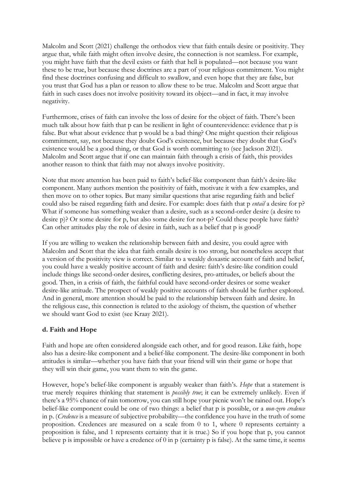Malcolm and Scott (2021) challenge the orthodox view that faith entails desire or positivity. They argue that, while faith might often involve desire, the connection is not seamless. For example, you might have faith that the devil exists or faith that hell is populated—not because you want these to be true, but because these doctrines are a part of your religious commitment. You might find these doctrines confusing and difficult to swallow, and even hope that they are false, but you trust that God has a plan or reason to allow these to be true. Malcolm and Scott argue that faith in such cases does not involve positivity toward its object—and in fact, it may involve negativity.

Furthermore, crises of faith can involve the loss of desire for the object of faith. There's been much talk about how faith that p can be resilient in light of counterevidence: evidence that p is false. But what about evidence that p would be a bad thing? One might question their religious commitment, say, not because they doubt God's existence, but because they doubt that God's existence would be a good thing, or that God is worth committing to (see Jackson 2021). Malcolm and Scott argue that if one can maintain faith through a crisis of faith, this provides another reason to think that faith may not always involve positivity.

Note that more attention has been paid to faith's belief-like component than faith's desire-like component. Many authors mention the positivity of faith, motivate it with a few examples, and then move on to other topics. But many similar questions that arise regarding faith and belief could also be raised regarding faith and desire. For example: does faith that p *entail* a desire for p? What if someone has something weaker than a desire, such as a second-order desire (a desire to desire p)? Or some desire for p, but also some desire for not-p? Could these people have faith? Can other attitudes play the role of desire in faith, such as a belief that p is good?

If you are willing to weaken the relationship between faith and desire, you could agree with Malcolm and Scott that the idea that faith entails desire is too strong, but nonetheless accept that a version of the positivity view is correct. Similar to a weakly doxastic account of faith and belief, you could have a weakly positive account of faith and desire: faith's desire-like condition could include things like second-order desires, conflicting desires, pro-attitudes, or beliefs about the good. Then, in a crisis of faith, the faithful could have second-order desires or some weaker desire-like attitude. The prospect of weakly positive accounts of faith should be further explored. And in general, more attention should be paid to the relationship between faith and desire. In the religious case, this connection is related to the axiology of theism, the question of whether we should want God to exist (see Kraay 2021).

# **d. Faith and Hope**

Faith and hope are often considered alongside each other, and for good reason. Like faith, hope also has a desire-like component and a belief-like component. The desire-like component in both attitudes is similar—whether you have faith that your friend will win their game or hope that they will win their game, you want them to win the game.

However, hope's belief-like component is arguably weaker than faith's. *Hope* that a statement is true merely requires thinking that statement is *possibly true*; it can be extremely unlikely. Even if there's a 95% chance of rain tomorrow, you can still hope your picnic won't be rained out. Hope's belief-like component could be one of two things: a belief that p is possible, or a *non-zero credence* in p. (*Credence* is a measure of subjective probability—the confidence you have in the truth of some proposition. Credences are measured on a scale from 0 to 1, where 0 represents certainty a proposition is false, and 1 represents certainty that it is true.) So if you hope that p, you cannot believe p is impossible or have a credence of 0 in p (certainty p is false). At the same time, it seems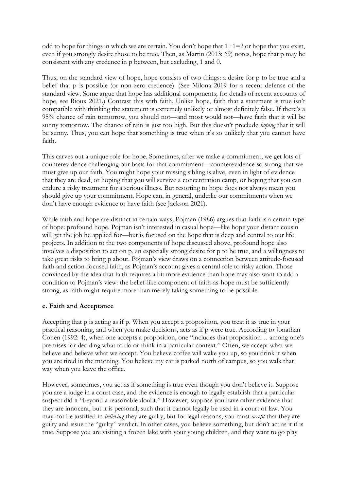odd to hope for things in which we are certain. You don't hope that  $1+1=2$  or hope that you exist, even if you strongly desire those to be true. Then, as Martin (2013: 69) notes, hope that p may be consistent with any credence in p between, but excluding, 1 and 0.

Thus, on the standard view of hope, hope consists of two things: a desire for p to be true and a belief that p is possible (or non-zero credence). (See Milona 2019 for a recent defense of the standard view. Some argue that hope has additional components; for details of recent accounts of hope, see Rioux 2021.) Contrast this with faith. Unlike hope, faith that a statement is true isn't compatible with thinking the statement is extremely unlikely or almost definitely false. If there's a 95% chance of rain tomorrow, you should not—and most would not—have faith that it will be sunny tomorrow. The chance of rain is just too high. But this doesn't preclude *hoping* that it will be sunny. Thus, you can hope that something is true when it's so unlikely that you cannot have faith.

This carves out a unique role for hope. Sometimes, after we make a commitment, we get lots of counterevidence challenging our basis for that commitment—counterevidence so strong that we must give up our faith. You might hope your missing sibling is alive, even in light of evidence that they are dead, or hoping that you will survive a concentration camp, or hoping that you can endure a risky treatment for a serious illness. But resorting to hope does not always mean you should give up your commitment. Hope can, in general, underlie our commitments when we don't have enough evidence to have faith (see Jackson 2021).

While faith and hope are distinct in certain ways, Pojman (1986) argues that faith is a certain type of hope: profound hope. Pojman isn't interested in casual hope—like hope your distant cousin will get the job he applied for—but is focused on the hope that is deep and central to our life projects. In addition to the two components of hope discussed above, profound hope also involves a disposition to act on p, an especially strong desire for p to be true, and a willingness to take great risks to bring p about. Pojman's view draws on a connection between attitude-focused faith and action-focused faith, as Pojman's account gives a central role to risky action. Those convinced by the idea that faith requires a bit more evidence than hope may also want to add a condition to Pojman's view: the belief-like component of faith-as-hope must be sufficiently strong, as faith might require more than merely taking something to be possible.

### **e. Faith and Acceptance**

Accepting that p is acting as if p. When you accept a proposition, you treat it as true in your practical reasoning, and when you make decisions, acts as if p were true. According to Jonathan Cohen (1992: 4), when one accepts a proposition, one "includes that proposition… among one's premises for deciding what to do or think in a particular context." Often, we accept what we believe and believe what we accept. You believe coffee will wake you up, so you drink it when you are tired in the morning. You believe my car is parked north of campus, so you walk that way when you leave the office.

However, sometimes, you act as if something is true even though you don't believe it. Suppose you are a judge in a court case, and the evidence is enough to legally establish that a particular suspect did it "beyond a reasonable doubt." However, suppose you have other evidence that they are innocent, but it is personal, such that it cannot legally be used in a court of law. You may not be justified in *believing* they are guilty, but for legal reasons, you must *accept* that they are guilty and issue the "guilty" verdict. In other cases, you believe something, but don't act as it if is true. Suppose you are visiting a frozen lake with your young children, and they want to go play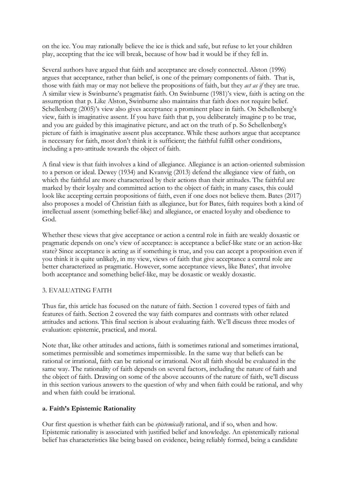on the ice. You may rationally believe the ice is thick and safe, but refuse to let your children play, accepting that the ice will break, because of how bad it would be if they fell in.

Several authors have argued that faith and acceptance are closely connected. Alston (1996) argues that acceptance, rather than belief, is one of the primary components of faith. That is, those with faith may or may not believe the propositions of faith, but they *act as if* they are true. A similar view is Swinburne's pragmatist faith. On Swinburne (1981)'s view, faith is acting on the assumption that p. Like Alston, Swinburne also maintains that faith does not require belief. Schellenberg (2005)'s view also gives acceptance a prominent place in faith. On Schellenberg's view, faith is imaginative assent. If you have faith that p, you deliberately imagine p to be true, and you are guided by this imaginative picture, and act on the truth of p. So Schellenberg's picture of faith is imaginative assent plus acceptance. While these authors argue that acceptance is necessary for faith, most don't think it is sufficient; the faithful fulfill other conditions, including a pro-attitude towards the object of faith.

A final view is that faith involves a kind of allegiance. Allegiance is an action-oriented submission to a person or ideal. Dewey (1934) and Kvanvig (2013) defend the allegiance view of faith, on which the faithful are more characterized by their actions than their attitudes. The faithful are marked by their loyalty and committed action to the object of faith; in many cases, this could look like accepting certain propositions of faith, even if one does not believe them. Bates (2017) also proposes a model of Christian faith as allegiance, but for Bates, faith requires both a kind of intellectual assent (something belief-like) and allegiance, or enacted loyalty and obedience to God.

Whether these views that give acceptance or action a central role in faith are weakly doxastic or pragmatic depends on one's view of acceptance: is acceptance a belief-like state or an action-like state? Since acceptance is acting as if something is true, and you can accept a proposition even if you think it is quite unlikely, in my view, views of faith that give acceptance a central role are better characterized as pragmatic. However, some acceptance views, like Bates', that involve both acceptance and something belief-like, may be doxastic or weakly doxastic.

### 3. EVALUATING FAITH

Thus far, this article has focused on the nature of faith. Section 1 covered types of faith and features of faith. Section 2 covered the way faith compares and contrasts with other related attitudes and actions. This final section is about evaluating faith. We'll discuss three modes of evaluation: epistemic, practical, and moral.

Note that, like other attitudes and actions, faith is sometimes rational and sometimes irrational, sometimes permissible and sometimes impermissible. In the same way that beliefs can be rational or irrational, faith can be rational or irrational. Not all faith should be evaluated in the same way. The rationality of faith depends on several factors, including the nature of faith and the object of faith. Drawing on some of the above accounts of the nature of faith, we'll discuss in this section various answers to the question of why and when faith could be rational, and why and when faith could be irrational.

### **a. Faith's Epistemic Rationality**

Our first question is whether faith can be *epistemically* rational, and if so, when and how. Epistemic rationality is associated with justified belief and knowledge. An epistemically rational belief has characteristics like being based on evidence, being reliably formed, being a candidate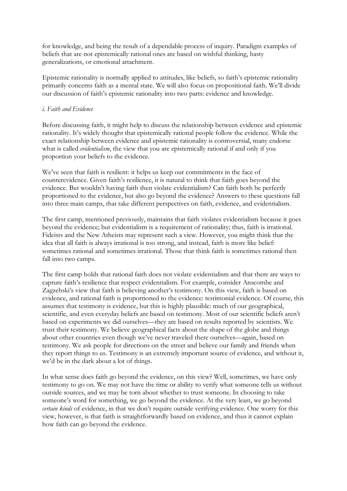for knowledge, and being the result of a dependable process of inquiry. Paradigm examples of beliefs that are not epistemically rational ones are based on wishful thinking, hasty generalizations, or emotional attachment.

Epistemic rationality is normally applied to attitudes, like beliefs, so faith's epistemic rationality primarily concerns faith as a mental state. We will also focus on propositional faith. We'll divide our discussion of faith's epistemic rationality into two parts: evidence and knowledge.

#### *i. Faith and Evidence*

Before discussing faith, it might help to discuss the relationship between evidence and epistemic rationality. It's widely thought that epistemically rational people follow the evidence. While the exact relationship between evidence and epistemic rationality is controversial, many endorse what is called *evidentialism*, the view that you are epistemically rational if and only if you proportion your beliefs to the evidence.

We've seen that faith is resilient: it helps us keep our commitments in the face of counterevidence. Given faith's resilience, it is natural to think that faith goes beyond the evidence. But wouldn't having faith then violate evidentialism? Can faith both be perfectly proportioned to the evidence, but also go beyond the evidence? Answers to these questions fall into three main camps, that take different perspectives on faith, evidence, and evidentialism.

The first camp, mentioned previously, maintains that faith violates evidentialism because it goes beyond the evidence; but evidentialism is a requirement of rationality; thus, faith is irrational. Fideists and the New Atheists may represent such a view. However, you might think that the idea that all faith is always irrational is too strong, and instead, faith is more like belief: sometimes rational and sometimes irrational. Those that think faith is sometimes rational then fall into two camps.

The first camp holds that rational faith does not violate evidentialism and that there are ways to capture faith's resilience that respect evidentialism. For example, consider Anscombe and Zagzebski's view that faith is believing another's testimony. On this view, faith is based on evidence, and rational faith is proportioned to the evidence: testimonial evidence. Of course, this assumes that testimony is evidence, but this is highly plausible: much of our geographical, scientific, and even everyday beliefs are based on testimony. Most of our scientific beliefs aren't based on experiments we did ourselves—they are based on results reported by scientists. We trust their testimony. We believe geographical facts about the shape of the globe and things about other countries even though we've never traveled there ourselves—again, based on testimony. We ask people for directions on the street and believe our family and friends when they report things to us. Testimony is an extremely important source of evidence, and without it, we'd be in the dark about a lot of things.

In what sense does faith go beyond the evidence, on this view? Well, sometimes, we have only testimony to go on. We may not have the time or ability to verify what someone tells us without outside sources, and we may be torn about whether to trust someone. In choosing to take someone's word for something, we go beyond the evidence. At the very least, we go beyond *certain kinds* of evidence, in that we don't require outside verifying evidence. One worry for this view, however, is that faith is straightforwardly based on evidence, and thus it cannot explain how faith can go beyond the evidence.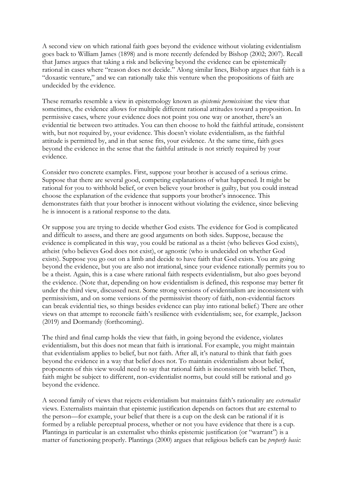A second view on which rational faith goes beyond the evidence without violating evidentialism goes back to William James (1898) and is more recently defended by Bishop (2002; 2007). Recall that James argues that taking a risk and believing beyond the evidence can be epistemically rational in cases where "reason does not decide." Along similar lines, Bishop argues that faith is a "doxastic venture," and we can rationally take this venture when the propositions of faith are undecided by the evidence.

These remarks resemble a view in epistemology known as *epistemic permissivism*: the view that sometimes, the evidence allows for multiple different rational attitudes toward a proposition. In permissive cases, where your evidence does not point you one way or another, there's an evidential tie between two attitudes. You can then choose to hold the faithful attitude, consistent with, but not required by, your evidence. This doesn't violate evidentialism, as the faithful attitude is permitted by, and in that sense fits, your evidence. At the same time, faith goes beyond the evidence in the sense that the faithful attitude is not strictly required by your evidence.

Consider two concrete examples. First, suppose your brother is accused of a serious crime. Suppose that there are several good, competing explanations of what happened. It might be rational for you to withhold belief, or even believe your brother is guilty, but you could instead choose the explanation of the evidence that supports your brother's innocence. This demonstrates faith that your brother is innocent without violating the evidence, since believing he is innocent is a rational response to the data.

Or suppose you are trying to decide whether God exists. The evidence for God is complicated and difficult to assess, and there are good arguments on both sides. Suppose, because the evidence is complicated in this way, you could be rational as a theist (who believes God exists), atheist (who believes God does not exist), or agnostic (who is undecided on whether God exists). Suppose you go out on a limb and decide to have faith that God exists. You are going beyond the evidence, but you are also not irrational, since your evidence rationally permits you to be a theist. Again, this is a case where rational faith respects evidentialism, but also goes beyond the evidence. (Note that, depending on how evidentialism is defined, this response may better fit under the third view, discussed next. Some strong versions of evidentialism are inconsistent with permissivism, and on some versions of the permissivist theory of faith, non-evidential factors can break evidential ties, so things besides evidence can play into rational belief.) There are other views on that attempt to reconcile faith's resilience with evidentialism; see, for example, Jackson (2019) and Dormandy (forthcoming).

The third and final camp holds the view that faith, in going beyond the evidence, violates evidentialism, but this does not mean that faith is irrational. For example, you might maintain that evidentialism applies to belief, but not faith. After all, it's natural to think that faith goes beyond the evidence in a way that belief does not. To maintain evidentialism about belief, proponents of this view would need to say that rational faith is inconsistent with belief. Then, faith might be subject to different, non-evidentialist norms, but could still be rational and go beyond the evidence.

A second family of views that rejects evidentialism but maintains faith's rationality are *externalist* views. Externalists maintain that epistemic justification depends on factors that are external to the person—for example, your belief that there is a cup on the desk can be rational if it is formed by a reliable perceptual process, whether or not you have evidence that there is a cup. Plantinga in particular is an externalist who thinks epistemic justification (or "warrant") is a matter of functioning properly. Plantinga (2000) argues that religious beliefs can be *properly basic*: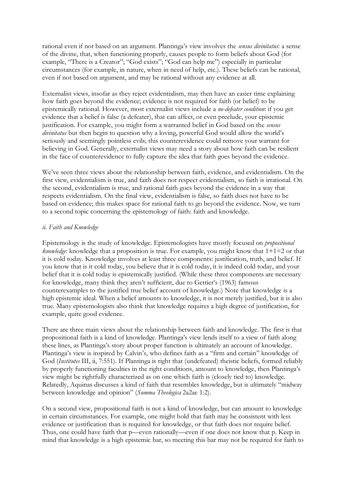rational even if not based on an argument. Plantinga's view involves the *sensus divinitatus*: a sense of the divine, that, when functioning properly, causes people to form beliefs about God (for example, "There is a Creator"; "God exists"; "God can help me") especially in particular circumstances (for example, in nature, when in need of help, etc.). These beliefs can be rational, even if not based on argument, and may be rational without any evidence at all.

Externalist views, insofar as they reject evidentialism, may then have an easier time explaining how faith goes beyond the evidence; evidence is not required for faith (or belief) to be epistemically rational. However, most externalist views include a *no-defeater condition*: if you get evidence that a belief is false (a defeater), that can affect, or even preclude, your epistemic justification. For example, you might form a warranted belief in God based on the *sensus divinitatus* but then begin to question why a loving, powerful God would allow the world's seriously and seemingly pointless evils; this counterevidence could remove your warrant for believing in God. Generally, externalist views may need a story about how faith can be resilient in the face of counterevidence to fully capture the idea that faith goes beyond the evidence.

We've seen three views about the relationship between faith, evidence, and evidentialism. On the first view, evidentialism is true, and faith does not respect evidentialism, so faith is irrational. On the second, evidentialism is true, and rational faith goes beyond the evidence in a way that respects evidentialism. On the final view, evidentialism is false, so faith does not have to be based on evidence; this makes space for rational faith to go beyond the evidence. Now, we turn to a second topic concerning the epistemology of faith: faith and knowledge.

#### *ii. Faith and Knowledge*

Epistemology is the study of knowledge. Epistemologists have mostly focused on *propositional knowledge*: knowledge that a proposition is true. For example, you might know that 1+1=2 or that it is cold today. Knowledge involves at least three components: justification, truth, and belief. If you know that is it cold today, you believe that it is cold today, it is indeed cold today, and your belief that it is cold today is epistemically justified. (While these three components are necessary for knowledge, many think they aren't sufficient, due to Gettier's (1963) famous counterexamples to the justified true belief account of knowledge.) Note that knowledge is a high epistemic ideal. When a belief amounts to knowledge, it is not merely justified, but it is also true. Many epistemologists also think that knowledge requires a high degree of justification, for example, quite good evidence.

There are three main views about the relationship between faith and knowledge. The first is that propositional faith is a kind of knowledge. Plantinga's view lends itself to a view of faith along these lines, as Plantinga's story about proper function is ultimately an account of knowledge. Plantinga's view is inspired by Calvin's, who defines faith as a "firm and certain" knowledge of God (*Institutes* III, ii, 7:551). If Plantinga is right that (undefeated) theistic beliefs, formed reliably by properly functioning faculties in the right conditions, amount to knowledge, then Plantinga's view might be rightfully characterized as on one which faith is (closely tied to) knowledge. Relatedly, Aquinas discusses a kind of faith that resembles knowledge, but is ultimately "midway between knowledge and opinion" (*Summa Theologica* 2a2ae 1:2).

On a second view, propositional faith is not a kind of knowledge, but can amount to knowledge in certain circumstances. For example, one might hold that faith may be consistent with less evidence or justification than is required for knowledge, or that faith does not require belief. Thus, one could have faith that p—even rationally—even if one does not know that p. Keep in mind that knowledge is a high epistemic bar, so meeting this bar may not be required for faith to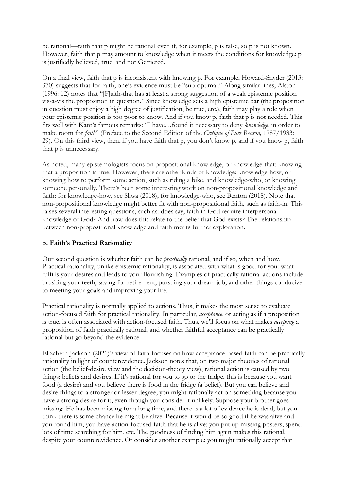be rational—faith that p might be rational even if, for example, p is false, so p is not known. However, faith that p may amount to knowledge when it meets the conditions for knowledge: p is justifiedly believed, true, and not Gettiered.

On a final view, faith that p is inconsistent with knowing p. For example, Howard-Snyder (2013: 370) suggests that for faith, one's evidence must be "sub-optimal." Along similar lines, Alston (1996: 12) notes that "[F]aith-that has at least a strong suggestion of a weak epistemic position vis-a-vis the proposition in question." Since knowledge sets a high epistemic bar (the proposition in question must enjoy a high degree of justification, be true, etc.), faith may play a role when your epistemic position is too poor to know. And if you know p, faith that p is not needed. This fits well with Kant's famous remarks: "I have…found it necessary to deny *knowledge*, in order to make room for *faith*" (Preface to the Second Edition of the *Critique of Pure Reason,* 1787/1933: 29). On this third view, then, if you have faith that p, you don't know p, and if you know p, faith that p is unnecessary.

As noted, many epistemologists focus on propositional knowledge, or knowledge-that: knowing that a proposition is true. However, there are other kinds of knowledge: knowledge-how, or knowing how to perform some action, such as riding a bike, and knowledge-who, or knowing someone personally. There's been some interesting work on non-propositional knowledge and faith: for knowledge-how, see Sliwa (2018); for knowledge-who, see Benton (2018). Note that non-propositional knowledge might better fit with non-propositional faith, such as faith-in. This raises several interesting questions, such as: does say, faith in God require interpersonal knowledge of God? And how does this relate to the belief that God exists? The relationship between non-propositional knowledge and faith merits further exploration.

## **b. Faith's Practical Rationality**

Our second question is whether faith can be *practically* rational, and if so, when and how. Practical rationality, unlike epistemic rationality, is associated with what is good for you: what fulfills your desires and leads to your flourishing. Examples of practically rational actions include brushing your teeth, saving for retirement, pursuing your dream job, and other things conducive to meeting your goals and improving your life.

Practical rationality is normally applied to actions. Thus, it makes the most sense to evaluate action-focused faith for practical rationality. In particular, *acceptance*, or acting as if a proposition is true, is often associated with action-focused faith. Thus, we'll focus on what makes *accepting* a proposition of faith practically rational, and whether faithful acceptance can be practically rational but go beyond the evidence.

Elizabeth Jackson (2021)'s view of faith focuses on how acceptance-based faith can be practically rationality in light of counterevidence. Jackson notes that, on two major theories of rational action (the belief-desire view and the decision-theory view), rational action is caused by two things: beliefs and desires. If it's rational for you to go to the fridge, this is because you want food (a desire) and you believe there is food in the fridge (a belief). But you can believe and desire things to a stronger or lesser degree; you might rationally act on something because you have a strong desire for it, even though you consider it unlikely. Suppose your brother goes missing. He has been missing for a long time, and there is a lot of evidence he is dead, but you think there is some chance he might be alive. Because it would be so good if he was alive and you found him, you have action-focused faith that he is alive: you put up missing posters, spend lots of time searching for him, etc. The goodness of finding him again makes this rational, despite your counterevidence. Or consider another example: you might rationally accept that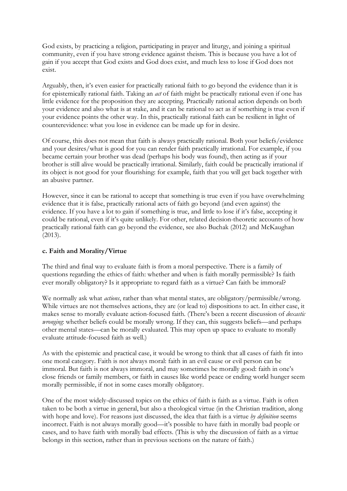God exists, by practicing a religion, participating in prayer and liturgy, and joining a spiritual community, even if you have strong evidence against theism. This is because you have a lot of gain if you accept that God exists and God does exist, and much less to lose if God does not exist.

Arguably, then, it's even easier for practically rational faith to go beyond the evidence than it is for epistemically rational faith. Taking an *act* of faith might be practically rational even if one has little evidence for the proposition they are accepting. Practically rational action depends on both your evidence and also what is at stake, and it can be rational to act as if something is true even if your evidence points the other way. In this, practically rational faith can be resilient in light of counterevidence: what you lose in evidence can be made up for in desire.

Of course, this does not mean that faith is always practically rational. Both your beliefs/evidence and your desires/what is good for you can render faith practically irrational. For example, if you became certain your brother was dead (perhaps his body was found), then acting as if your brother is still alive would be practically irrational. Similarly, faith could be practically irrational if its object is not good for your flourishing: for example, faith that you will get back together with an abusive partner.

However, since it can be rational to accept that something is true even if you have overwhelming evidence that it is false, practically rational acts of faith go beyond (and even against) the evidence. If you have a lot to gain if something is true, and little to lose if it's false, accepting it could be rational, even if it's quite unlikely. For other, related decision-theoretic accounts of how practically rational faith can go beyond the evidence, see also Buchak (2012) and McKaughan (2013).

# **c. Faith and Morality/Virtue**

The third and final way to evaluate faith is from a moral perspective. There is a family of questions regarding the ethics of faith: whether and when is faith morally permissible? Is faith ever morally obligatory? Is it appropriate to regard faith as a virtue? Can faith be immoral?

We normally ask what *actions*, rather than what mental states, are obligatory/permissible/wrong. While virtues are not themselves actions, they are (or lead to) dispositions to act. In either case, it makes sense to morally evaluate action-focused faith. (There's been a recent discussion of *doxastic wronging*: whether beliefs could be morally wrong. If they can, this suggests beliefs—and perhaps other mental states—can be morally evaluated. This may open up space to evaluate to morally evaluate attitude-focused faith as well.)

As with the epistemic and practical case, it would be wrong to think that all cases of faith fit into one moral category. Faith is not always moral: faith in an evil cause or evil person can be immoral. But faith is not always immoral, and may sometimes be morally good: faith in one's close friends or family members, or faith in causes like world peace or ending world hunger seem morally permissible, if not in some cases morally obligatory.

One of the most widely-discussed topics on the ethics of faith is faith as a virtue. Faith is often taken to be both a virtue in general, but also a theological virtue (in the Christian tradition, along with hope and love). For reasons just discussed, the idea that faith is a virtue *by definition* seems incorrect. Faith is not always morally good—it's possible to have faith in morally bad people or cases, and to have faith with morally bad effects. (This is why the discussion of faith as a virtue belongs in this section, rather than in previous sections on the nature of faith.)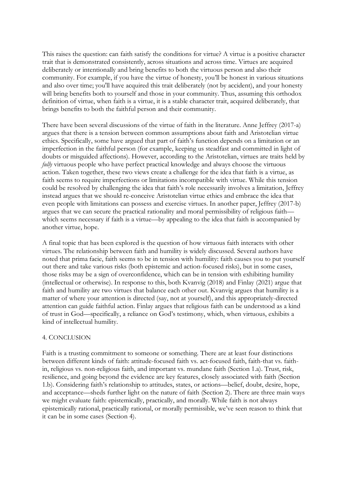This raises the question: can faith satisfy the conditions for virtue? A virtue is a positive character trait that is demonstrated consistently, across situations and across time. Virtues are acquired deliberately or intentionally and bring benefits to both the virtuous person and also their community. For example, if you have the virtue of honesty, you'll be honest in various situations and also over time; you'll have acquired this trait deliberately (not by accident), and your honesty will bring benefits both to yourself and those in your community. Thus, assuming this orthodox definition of virtue, when faith is a virtue, it is a stable character trait, acquired deliberately, that brings benefits to both the faithful person and their community.

There have been several discussions of the virtue of faith in the literature. Anne Jeffrey (2017-a) argues that there is a tension between common assumptions about faith and Aristotelian virtue ethics. Specifically, some have argued that part of faith's function depends on a limitation or an imperfection in the faithful person (for example, keeping us steadfast and committed in light of doubts or misguided affections). However, according to the Aristotelian, virtues are traits held by *fully* virtuous people who have perfect practical knowledge and always choose the virtuous action. Taken together, these two views create a challenge for the idea that faith is a virtue, as faith seems to require imperfections or limitations incompatible with virtue. While this tension could be resolved by challenging the idea that faith's role necessarily involves a limitation, Jeffrey instead argues that we should re-conceive Aristotelian virtue ethics and embrace the idea that even people with limitations can possess and exercise virtues. In another paper, Jeffrey (2017-b) argues that we can secure the practical rationality and moral permissibility of religious faith which seems necessary if faith is a virtue—by appealing to the idea that faith is accompanied by another virtue, hope.

A final topic that has been explored is the question of how virtuous faith interacts with other virtues. The relationship between faith and humility is widely discussed. Several authors have noted that prima facie, faith seems to be in tension with humility: faith causes you to put yourself out there and take various risks (both epistemic and action-focused risks), but in some cases, those risks may be a sign of overconfidence, which can be in tension with exhibiting humility (intellectual or otherwise). In response to this, both Kvanvig (2018) and Finlay (2021) argue that faith and humility are two virtues that balance each other out. Kvanvig argues that humility is a matter of where your attention is directed (say, not at yourself), and this appropriately-directed attention can guide faithful action. Finlay argues that religious faith can be understood as a kind of trust in God—specifically, a reliance on God's testimony, which, when virtuous, exhibits a kind of intellectual humility.

### 4. CONCLUSION

Faith is a trusting commitment to someone or something. There are at least four distinctions between different kinds of faith: attitude-focused faith vs. act-focused faith, faith-that vs. faithin, religious vs. non-religious faith, and important vs. mundane faith (Section 1.a). Trust, risk, resilience, and going beyond the evidence are key features, closely associated with faith (Section 1.b). Considering faith's relationship to attitudes, states, or actions—belief, doubt, desire, hope, and acceptance—sheds further light on the nature of faith (Section 2). There are three main ways we might evaluate faith: epistemically, practically, and morally. While faith is not always epistemically rational, practically rational, or morally permissible, we've seen reason to think that it can be in some cases (Section 4).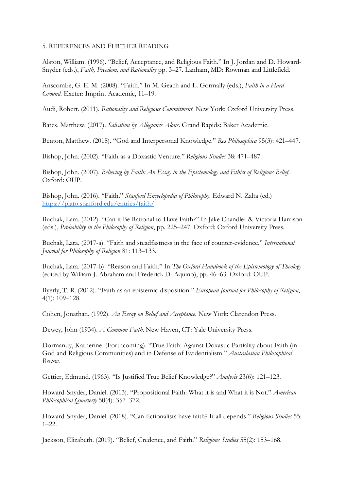#### 5. REFERENCES AND FURTHER READING

Alston, William. (1996). "Belief, Acceptance, and Religious Faith." In J. Jordan and D. Howard-Snyder (eds.), *Faith, Freedom, and Rationality* pp. 3–27. Lanham, MD: Rowman and Littlefield.

Anscombe, G. E. M. (2008). "Faith." In M. Geach and L. Gormally (eds.), *Faith in a Hard Ground*. Exeter: Imprint Academic, 11–19.

Audi, Robert. (2011). *Rationality and Religious Commitment*. New York: Oxford University Press.

Bates, Matthew. (2017). *Salvation by Allegiance Alone*. Grand Rapids: Baker Academic.

Benton, Matthew. (2018). "God and Interpersonal Knowledge." *Res Philosophica* 95(3): 421–447.

Bishop, John. (2002). "Faith as a Doxastic Venture." *Religious Studies* 38: 471–487.

Bishop, John. (2007). *Believing by Faith: An Essay in the Epistemology and Ethics of Religious Belief*. Oxford: OUP.

Bishop, John. (2016). "Faith." *Stanford Encyclopedia of Philosophy*. Edward N. Zalta (ed.) https://plato.stanford.edu/entries/faith/

Buchak, Lara. (2012). "Can it Be Rational to Have Faith?" In Jake Chandler & Victoria Harrison (eds.), *Probability in the Philosophy of Religion*, pp. 225–247. Oxford: Oxford University Press.

Buchak, Lara. (2017-a). "Faith and steadfastness in the face of counter-evidence." *International Journal for Philosophy of Religion* 81: 113–133.

Buchak, Lara. (2017-b). "Reason and Faith." In *The Oxford Handbook of the Epistemology of Theology* (edited by William J. Abraham and Frederick D. Aquino), pp. 46–63. Oxford: OUP.

Byerly, T. R. (2012). "Faith as an epistemic disposition." *European Journal for Philosophy of Religion*, 4(1): 109–128.

Cohen, Jonathan. (1992). *An Essay on Belief and Acceptance*. New York: Clarendon Press.

Dewey, John (1934). *A Common Faith*. New Haven, CT: Yale University Press.

Dormandy, Katherine. (Forthcoming). "True Faith: Against Doxastic Partiality about Faith (in God and Religious Communities) and in Defense of Evidentialism." *Australasian Philosophical Review*.

Gettier, Edmund. (1963). "Is Justified True Belief Knowledge?" *Analysis* 23(6): 121–123.

Howard-Snyder, Daniel. (2013). "Propositional Faith: What it is and What it is Not." *American Philosophical Quarterly* 50(4): 357–372.

Howard-Snyder, Daniel. (2018). "Can fictionalists have faith? It all depends." *Religious Studies* 55: 1–22.

Jackson, Elizabeth. (2019). "Belief, Credence, and Faith." *Religious Studies* 55(2): 153–168.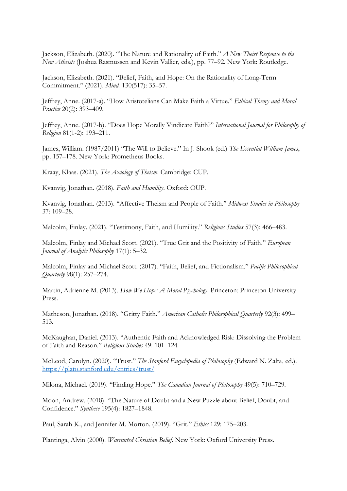Jackson, Elizabeth. (2020). "The Nature and Rationality of Faith." *A New Theist Response to the New Atheists* (Joshua Rasmussen and Kevin Vallier, eds.), pp. 77–92. New York: Routledge.

Jackson, Elizabeth. (2021). "Belief, Faith, and Hope: On the Rationality of Long-Term Commitment." (2021). *Mind.* 130(517): 35–57.

Jeffrey, Anne. (2017-a). "How Aristotelians Can Make Faith a Virtue." *Ethical Theory and Moral Practice* 20(2): 393–409.

Jeffrey, Anne. (2017-b). "Does Hope Morally Vindicate Faith?" *International Journal for Philosophy of Religion* 81(1-2): 193–211.

James, William. (1987/2011) "The Will to Believe." In J. Shook (ed.) *The Essential William James*, pp. 157–178. New York: Prometheus Books.

Kraay, Klaas. (2021). *The Axiology of Theism*. Cambridge: CUP.

Kvanvig, Jonathan. (2018). *Faith and Humility*. Oxford: OUP.

Kvanvig, Jonathan. (2013). "Affective Theism and People of Faith." *Midwest Studies in Philosophy*  37: 109–28.

Malcolm, Finlay. (2021). "Testimony, Faith, and Humility." *Religious Studies* 57(3): 466–483.

Malcolm, Finlay and Michael Scott. (2021). "True Grit and the Positivity of Faith." *European Journal of Analytic Philosophy* 17(1): 5–32.

Malcolm, Finlay and Michael Scott. (2017). "Faith, Belief, and Fictionalism." *Pacific Philosophical Quarterly* 98(1): 257–274.

Martin, Adrienne M. (2013). *How We Hope: A Moral Psychology*. Princeton: Princeton University Press.

Matheson, Jonathan. (2018). "Gritty Faith." *American Catholic Philosophical Quarterly* 92(3): 499– 513.

McKaughan, Daniel. (2013). "Authentic Faith and Acknowledged Risk: Dissolving the Problem of Faith and Reason." *Religious Studies* 49: 101–124.

McLeod, Carolyn. (2020). "Trust." *The Stanford Encyclopedia of Philosophy* (Edward N. Zalta, ed.). https://plato.stanford.edu/entries/trust/

Milona, Michael. (2019). "Finding Hope." *The Canadian Journal of Philosophy* 49(5): 710–729.

Moon, Andrew. (2018). "The Nature of Doubt and a New Puzzle about Belief, Doubt, and Confidence." *Synthese* 195(4): 1827–1848.

Paul, Sarah K., and Jennifer M. Morton. (2019). "Grit." *Ethics* 129: 175–203.

Plantinga, Alvin (2000). *Warranted Christian Belief*. New York: Oxford University Press.